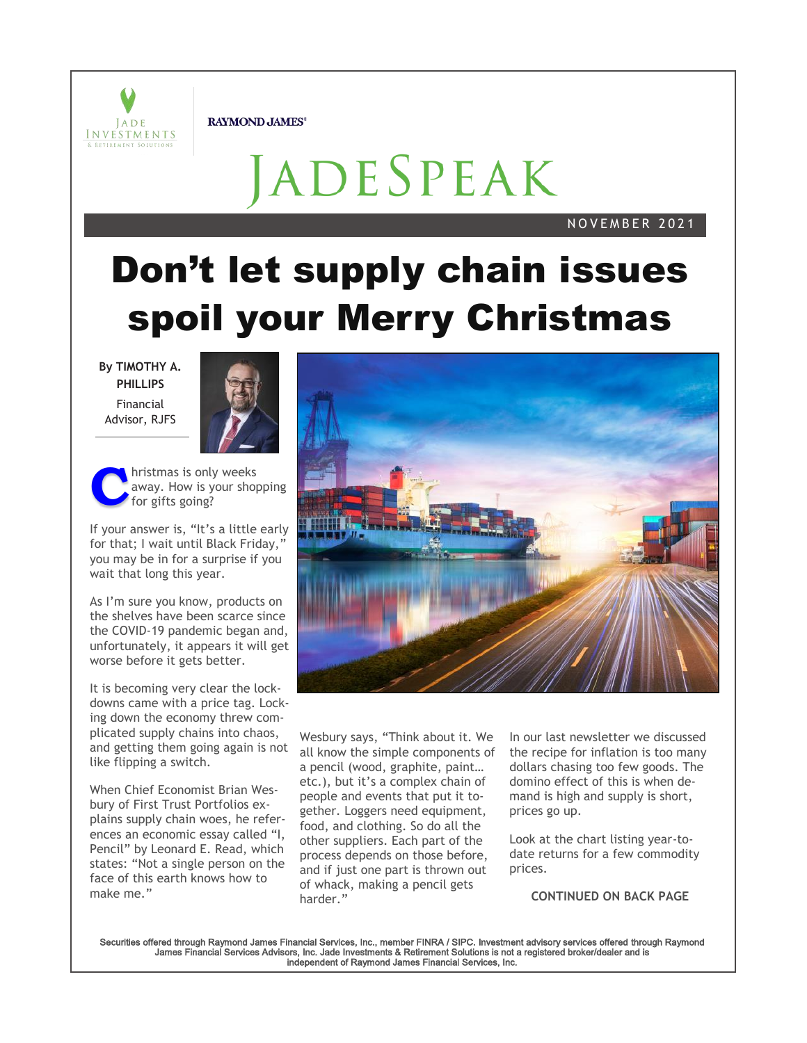

**RAYMOND JAMES®** 

# JADESPEAK

#### N O V E M B E R 2 0 2 1

# **Don't let supply chain issues spoil your Merry Christmas**

**By TIMOTHY A. PHILLIPS** Financial Advisor, RJFS



**C** hristmas is only weeks away. How is your shopping for gifts going?

If your answer is, "It's a little early for that; I wait until Black Friday,' you may be in for a surprise if you wait that long this year.

As I'm sure you know, products on the shelves have been scarce since the COVID-19 pandemic began and, unfortunately, it appears it will get worse before it gets better.

It is becoming very clear the lockdowns came with a price tag. Locking down the economy threw complicated supply chains into chaos, and getting them going again is not like flipping a switch.

When Chief Economist Brian Wesbury of First Trust Portfolios explains supply chain woes, he references an economic essay called "I, Pencil" by Leonard E. Read, which states: "Not a single person on the face of this earth knows how to make me."



Wesbury says, "Think about it. We all know the simple components of a pencil (wood, graphite, paint… etc.), but it's a complex chain of people and events that put it together. Loggers need equipment, food, and clothing. So do all the other suppliers. Each part of the process depends on those before, and if just one part is thrown out of whack, making a pencil gets harder."

In our last newsletter we discussed the recipe for inflation is too many dollars chasing too few goods. The domino effect of this is when demand is high and supply is short, prices go up.

Look at the chart listing year-todate returns for a few commodity prices.

**CONTINUED ON BACK PAGE**

Securities offered through Raymond James Financial Services, Inc., member FINRA / SIPC. Investment advisory services offered through Raymond<br>James Financial Services Advisors, Inc. Jade Investments & Retirement Solutions i independent of Raymond James Financial Services, Inc.